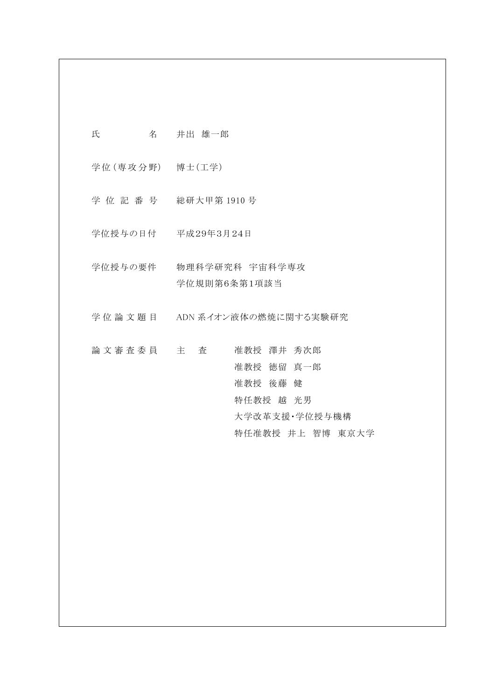| 氏 | 名 | 井出 雄一郎 |
|---|---|--------|
|   |   |        |

学位 (専攻分野) 博士 (工学)

- 学 位 記 番 号 総研大甲第 1910 号
- 学位授与の日付 平成29年3月24日
- 学位授与の要件 物理科学研究科 宇宙科学専攻 学位規則第6条第1項該当
- 学位論文題目 ADN 系イオン液体の燃焼に関する実験研究
- 論 文 審 査 委 員 主 査 准教授 澤井 秀次郎 准教授 徳留 真一郎 准教授 後藤 健 特任教授 越 光男 大学改革支援・学位授与機構 特任准教授 井上 智博 東京大学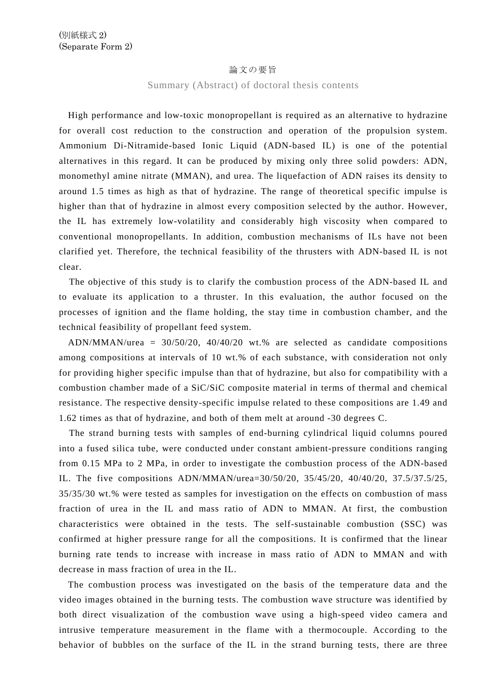## 論文の要旨

Summary (Abstract) of doctoral thesis contents

High performance and low-toxic monopropellant is required as an alternative to hydrazine for overall cost reduction to the construction and operation of the propulsion system. Ammonium Di-Nitramide-based Ionic Liquid (ADN-based IL) is one of the potential alternatives in this regard. It can be produced by mixing only three solid powders: ADN, monomethyl amine nitrate (MMAN), and urea. The liquefaction of ADN raises its density to around 1.5 times as high as that of hydrazine. The range of theoretical specific impulse is higher than that of hydrazine in almost every composition selected by the author. However, the IL has extremely low-volatility and considerably high viscosity when compared to conventional monopropellants. In addition, combustion mechanisms of ILs have not been clarified yet. Therefore, the technical feasibility of the thrusters with ADN-based IL is not clear.

The objective of this study is to clarify the combustion process of the ADN-based IL and to evaluate its application to a thruster. In this evaluation, the author focused on the processes of ignition and the flame holding, the stay time in combustion chamber, and the technical feasibility of propellant feed system.

ADN/MMAN/urea = 30/50/20, 40/40/20 wt.% are selected as candidate compositions among compositions at intervals of 10 wt.% of each substance, with consideration not only for providing higher specific impulse than that of hydrazine, but also for compatibility with a combustion chamber made of a SiC/SiC composite material in terms of thermal and chemical resistance. The respective density-specific impulse related to these compositions are 1.49 and 1.62 times as that of hydrazine, and both of them melt at around -30 degrees C.

The strand burning tests with samples of end-burning cylindrical liquid columns poured into a fused silica tube, were conducted under constant ambient-pressure conditions ranging from 0.15 MPa to 2 MPa, in order to investigate the combustion process of the ADN-based IL. The five compositions ADN/MMAN/urea=30/50/20, 35/45/20, 40/40/20, 37.5/37.5/25, 35/35/30 wt.% were tested as samples for investigation on the effects on combustion of mass fraction of urea in the IL and mass ratio of ADN to MMAN. At first, the combustion characteristics were obtained in the tests. The self-sustainable combustion (SSC) was confirmed at higher pressure range for all the compositions. It is confirmed that the linear burning rate tends to increase with increase in mass ratio of ADN to MMAN and with decrease in mass fraction of urea in the IL.

The combustion process was investigated on the basis of the temperature data and the video images obtained in the burning tests. The combustion wave structure was identified by both direct visualization of the combustion wave using a high-speed video camera and intrusive temperature measurement in the flame with a thermocouple. According to the behavior of bubbles on the surface of the IL in the strand burning tests, there are three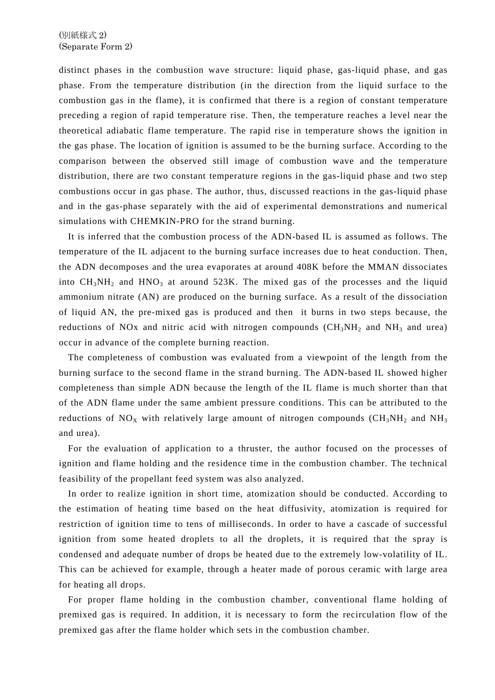distinct phases in the combustion wave structure: liquid phase, gas-liquid phase, and gas phase. From the temperature distribution (in the direction from the liquid surface to the combustion gas in the flame), it is confirmed that there is a region of constant temperature preceding a region of rapid temperature rise. Then, the temperature reaches a level near the theoretical adiabatic flame temperature. The rapid rise in temperature shows the ignition in the gas phase. The location of ignition is assumed to be the burning surface. According to the comparison between the observed still image of combustion wave and the temperature distribution, there are two constant temperature regions in the gas-liquid phase and two step combustions occur in gas phase. The author, thus, discussed reactions in the gas-liquid phase and in the gas-phase separately with the aid of experimental demonstrations and numerical simulations with CHEMKIN-PRO for the strand burning.

It is inferred that the combustion process of the ADN-based IL is assumed as follows. The temperature of the IL adjacent to the burning surface increases due to heat conduction. Then, the ADN decomposes and the urea evaporates at around 408K before the MMAN dissociates into  $CH_3NH_2$  and  $HNO_3$  at around 523K. The mixed gas of the processes and the liquid ammonium nitrate (AN) are produced on the burning surface. As a result of the dissociation of liquid AN, the pre-mixed gas is produced and then it burns in two steps because, the reductions of NOx and nitric acid with nitrogen compounds  $(CH_3NH_2$  and NH<sub>3</sub> and urea) occur in advance of the complete burning reaction.

The completeness of combustion was evaluated from a viewpoint of the length from the burning surface to the second flame in the strand burning. The ADN-based IL showed higher completeness than simple ADN because the length of the IL flame is much shorter than that of the ADN flame under the same ambient pressure conditions. This can be attributed to the reductions of  $NO<sub>X</sub>$  with relatively large amount of nitrogen compounds (CH<sub>3</sub>NH<sub>2</sub> and NH<sub>3</sub> and urea).

For the evaluation of application to a thruster, the author focused on the processes of ignition and flame holding and the residence time in the combustion chamber. The technical feasibility of the propellant feed system was also analyzed.

In order to realize ignition in short time, atomization should be conducted. According to the estimation of heating time based on the heat diffusivity, atomization is required for restriction of ignition time to tens of milliseconds. In order to have a cascade of successful ignition from some heated droplets to all the droplets, it is required that the spray is condensed and adequate number of drops be heated due to the extremely low-volatility of IL. This can be achieved for example, through a heater made of porous ceramic with large area for heating all drops.

For proper flame holding in the combustion chamber, conventional flame holding of premixed gas is required. In addition, it is necessary to form the recirculation flow of the premixed gas after the flame holder which sets in the combustion chamber.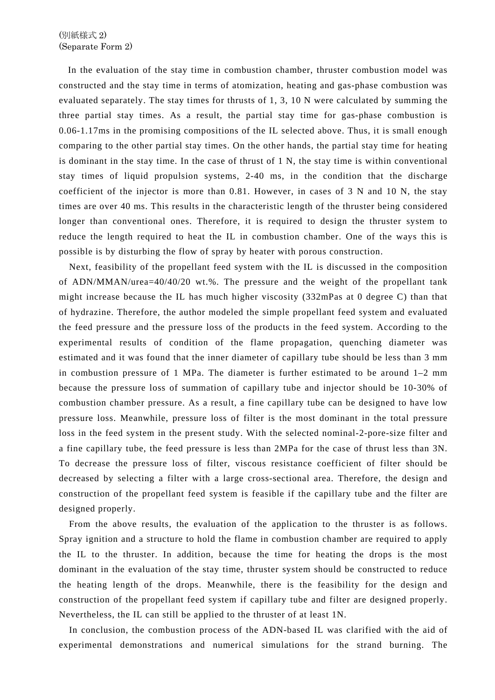In the evaluation of the stay time in combustion chamber, thruster combustion model was constructed and the stay time in terms of atomization, heating and gas-phase combustion was evaluated separately. The stay times for thrusts of 1, 3, 10 N were calculated by summing the three partial stay times. As a result, the partial stay time for gas-phase combustion is 0.06-1.17ms in the promising compositions of the IL selected above. Thus, it is small enough comparing to the other partial stay times. On the other hands, the partial stay time for heating is dominant in the stay time. In the case of thrust of 1 N, the stay time is within conventional stay times of liquid propulsion systems, 2-40 ms, in the condition that the discharge coefficient of the injector is more than 0.81. However, in cases of 3 N and 10 N, the stay times are over 40 ms. This results in the characteristic length of the thruster being considered longer than conventional ones. Therefore, it is required to design the thruster system to reduce the length required to heat the IL in combustion chamber. One of the ways this is possible is by disturbing the flow of spray by heater with porous construction.

Next, feasibility of the propellant feed system with the IL is discussed in the composition of ADN/MMAN/urea=40/40/20 wt.%. The pressure and the weight of the propellant tank might increase because the IL has much higher viscosity (332mPas at 0 degree C) than that of hydrazine. Therefore, the author modeled the simple propellant feed system and evaluated the feed pressure and the pressure loss of the products in the feed system. According to the experimental results of condition of the flame propagation, quenching diameter was estimated and it was found that the inner diameter of capillary tube should be less than 3 mm in combustion pressure of 1 MPa. The diameter is further estimated to be around 1–2 mm because the pressure loss of summation of capillary tube and injector should be 10-30% of combustion chamber pressure. As a result, a fine capillary tube can be designed to have low pressure loss. Meanwhile, pressure loss of filter is the most dominant in the total pressure loss in the feed system in the present study. With the selected nominal-2-pore-size filter and a fine capillary tube, the feed pressure is less than 2MPa for the case of thrust less than 3N. To decrease the pressure loss of filter, viscous resistance coefficient of filter should be decreased by selecting a filter with a large cross-sectional area. Therefore, the design and construction of the propellant feed system is feasible if the capillary tube and the filter are designed properly.

From the above results, the evaluation of the application to the thruster is as follows. Spray ignition and a structure to hold the flame in combustion chamber are required to apply the IL to the thruster. In addition, because the time for heating the drops is the most dominant in the evaluation of the stay time, thruster system should be constructed to reduce the heating length of the drops. Meanwhile, there is the feasibility for the design and construction of the propellant feed system if capillary tube and filter are designed properly. Nevertheless, the IL can still be applied to the thruster of at least 1N.

In conclusion, the combustion process of the ADN-based IL was clarified with the aid of experimental demonstrations and numerical simulations for the strand burning. The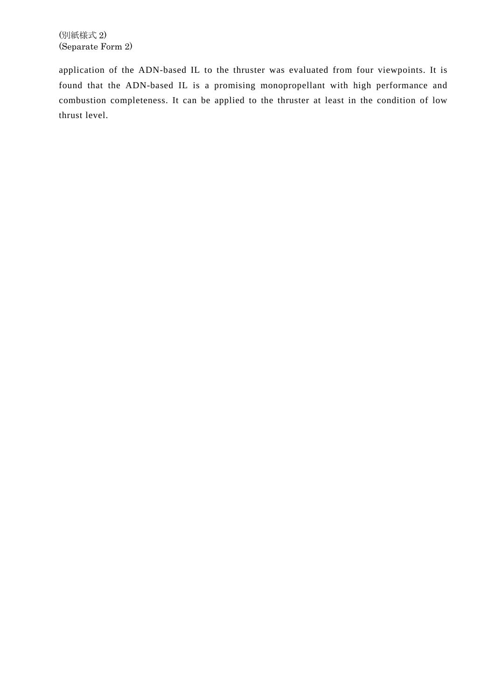application of the ADN-based IL to the thruster was evaluated from four viewpoints. It is found that the ADN-based IL is a promising monopropellant with high performance and combustion completeness. It can be applied to the thruster at least in the condition of low thrust level.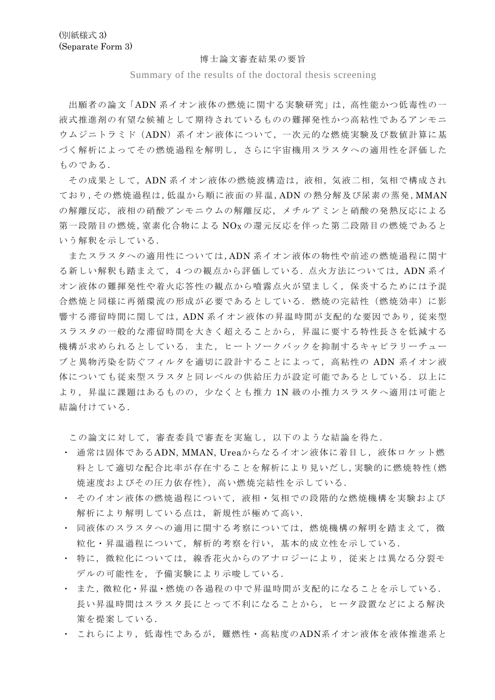## 博士論文審査結果の要旨

## Summary of the results of the doctoral thesis screening

出願者の論文「ADN 系イオン液体の燃焼に関する実験研究」は,高性能かつ低毒性の一 液式推進剤の有望な候補として期待されているものの難揮発性かつ高粘性であるアンモニ ウムジニトラミド(ADN)系イオン液体について,一次元的な燃焼実験及び数値計算に基 づく解析によってその燃焼過程を解明し,さらに宇宙機用スラスタへの適用性を評価した ものである.

その成果として,ADN 系イオン液体の燃焼波構造は,液相,気液二相,気相で構成され ており,その燃焼過程は,低温から順に液面の昇温,ADN の熱分解及び尿素の蒸発,MMAN の解離反応,液相の硝酸アンモニウムの解離反応,メチルアミンと硝酸の発熱反応による 第一段階目の燃焼,窒素化合物による NOx の還元反応を伴った第二段階目の燃焼であると いう解釈を示している.

またスラスタへの適用性については,ADN 系イオン液体の物性や前述の燃焼過程に関す る新しい解釈も踏まえて,4つの観点から評価している.点火方法については,ADN 系イ オン液体の難揮発性や着火応答性の観点から噴霧点火が望ましく,保炎するためには予混 合燃焼と同様に再循環流の形成が必要であるとしている.燃焼の完結性(燃焼効率)に影 響する滞留時間に関しては,ADN 系イオン液体の昇温時間が支配的な要因であり,従来型 スラスタの一般的な滞留時間を大きく超えることから,昇温に要する特性長さを低減する 機構が求められるとしている.また,ヒートソークバックを抑制するキャピラリーチュー ブと異物汚染を防ぐフィルタを適切に設計することによって,高粘性の ADN 系イオン液 体についても従来型スラスタと同レベルの供給圧力が設定可能であるとしている. 以上に より,昇温に課題はあるものの,少なくとも推力 1N 級の小推力スラスタへ適用は可能と 結論付けている.

この論文に対して,審査委員で審査を実施し,以下のような結論を得た.

- ・ 通常は固体であるADN, MMAN, Ureaからなるイオン液体に着目し,液体ロケット燃 料として適切な配合比率が存在することを解析により見いだし,実験的に燃焼特性(燃 焼速度およびその圧力依存性),高い燃焼完結性を示している.
- ・ そのイオン液体の燃焼過程について,液相・気相での段階的な燃焼機構を実験および 解析により解明している点は、新規性が極めて高い.
- ・ 同液体のスラスタへの適用に関する考察については,燃焼機構の解明を踏まえて,微 粒化・昇温過程について,解析的考察を行い,基本的成立性を示している.
- 特に、微粒化については、線香花火からのアナロジーにより、従来とは異なる分裂モ デルの可能性を,予備実験により示唆している.
- ・ また,微粒化・昇温・燃焼の各過程の中で昇温時間が支配的になることを示している. 長い昇温時間はスラスタ長にとって不利になることから,ヒータ設置などによる解決 策を提案している.
- ・ これらにより,低毒性であるが,難燃性・高粘度のADN系イオン液体を液体推進系と